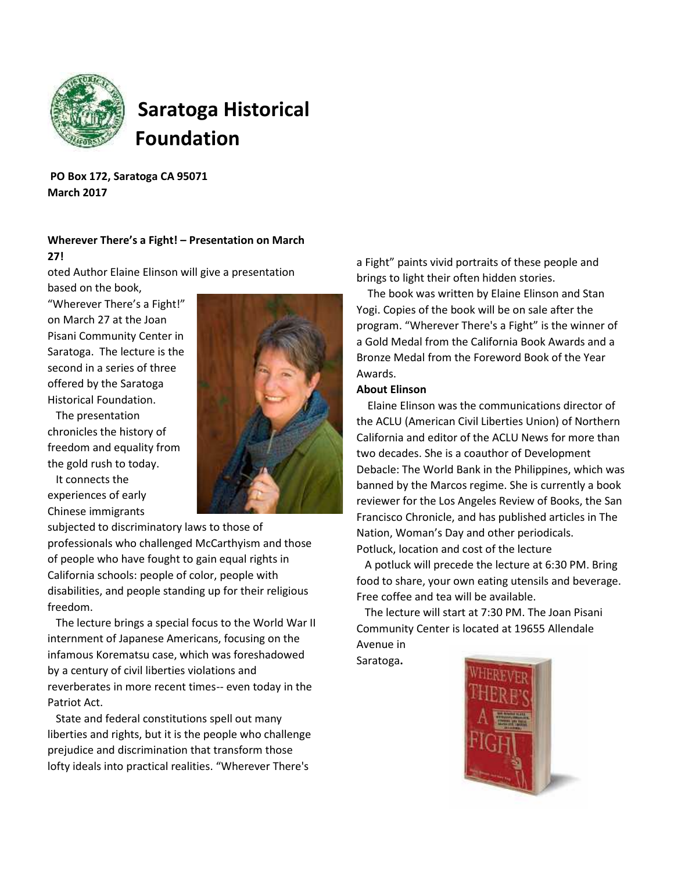

# **Saratoga Historical Foundation**

**PO Box 172, Saratoga CA 95071 March 2017**

## **Wherever There's a Fight! – Presentation on March**

#### **27!**

oted Author Elaine Elinson will give a presentation

based on the book, "Wherever There's a Fight!" on March 27 at the Joan Pisani Community Center in Saratoga. The lecture is the second in a series of three offered by the Saratoga Historical Foundation.

The presentation chronicles the history of freedom and equality from the gold rush to today.

It connects the experiences of early Chinese immigrants



subjected to discriminatory laws to those of professionals who challenged McCarthyism and those of people who have fought to gain equal rights in California schools: people of color, people with disabilities, and people standing up for their religious freedom.

The lecture brings a special focus to the World War II internment of Japanese Americans, focusing on the infamous Korematsu case, which was foreshadowed by a century of civil liberties violations and reverberates in more recent times-- even today in the Patriot Act.

State and federal constitutions spell out many liberties and rights, but it is the people who challenge prejudice and discrimination that transform those lofty ideals into practical realities. "Wherever There's

a Fight" paints vivid portraits of these people and brings to light their often hidden stories.

The book was written by Elaine Elinson and Stan Yogi. Copies of the book will be on sale after the program. "Wherever There's a Fight" is the winner of a Gold Medal from the California Book Awards and a Bronze Medal from the Foreword Book of the Year Awards.

#### **About Elinson**

Elaine Elinson was the communications director of the ACLU (American Civil Liberties Union) of Northern California and editor of the ACLU News for more than two decades. She is a coauthor of Development Debacle: The World Bank in the Philippines, which was banned by the Marcos regime. She is currently a book reviewer for the Los Angeles Review of Books, the San Francisco Chronicle, and has published articles in The Nation, Woman's Day and other periodicals. Potluck, location and cost of the lecture

A potluck will precede the lecture at 6:30 PM. Bring food to share, your own eating utensils and beverage. Free coffee and tea will be available.

The lecture will start at 7:30 PM. The Joan Pisani Community Center is located at 19655 Allendale Avenue in

Saratoga**.**

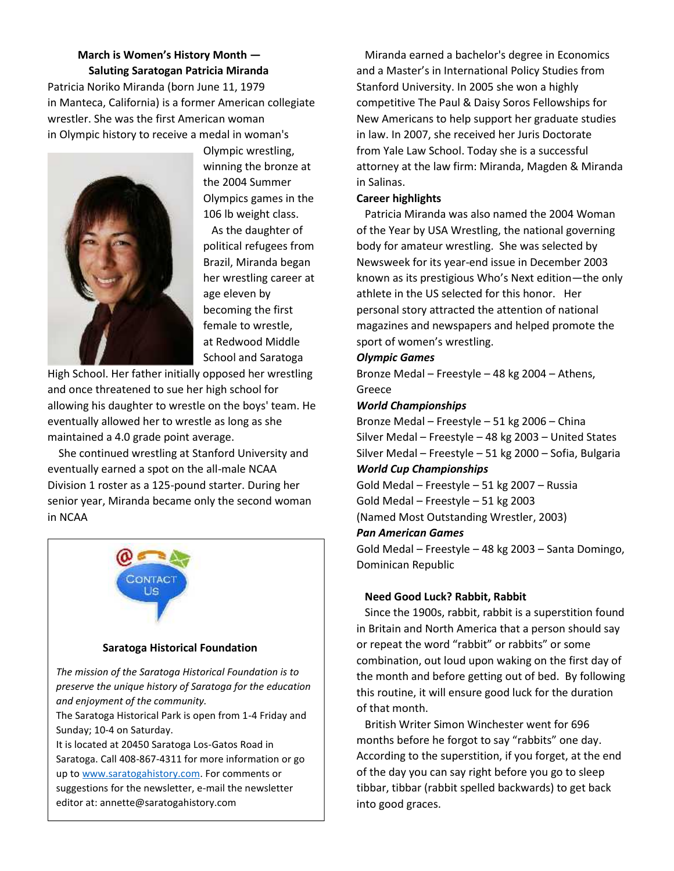**March is Women's History Month — Saluting Saratogan Patricia Miranda** Patricia Noriko Miranda (born June 11, 1979 in Manteca, California) is a former American collegiate wrestler. She was the first American woman in Olympic history to receive a medal in woman's



Olympic wrestling, winning the bronze at the 2004 Summer Olympics games in the 106 lb weight class.

As the daughter of political refugees from Brazil, Miranda began her wrestling career at age eleven by becoming the first female to wrestle, at Redwood Middle School and Saratoga

High School. Her father initially opposed her wrestling and once threatened to sue her high school for allowing his daughter to wrestle on the boys' team. He eventually allowed her to wrestle as long as she maintained a 4.0 grade point average.

She continued wrestling at Stanford University and eventually earned a spot on the all-male NCAA Division 1 roster as a 125-pound starter. During her senior year, Miranda became only the second woman in NCAA



suggestions for the newsletter, e-mail the newsletter  $\vert$ editor at: annette@saratogahistory.com Saratoga. Call 408-867-4311 for more information or go up to www.saratogahistory.com. For comments or

Miranda earned a bachelor's degree in Economics and a Master's in International Policy Studies from Stanford University. In 2005 she won a highly competitive The Paul & Daisy Soros Fellowships for New Americans to help support her graduate studies in law. In 2007, she received her Juris Doctorate from Yale Law School. Today she is a successful attorney at the law firm: Miranda, Magden & Miranda in Salinas.

#### **Career highlights**

Patricia Miranda was also named the 2004 Woman of the Year by USA Wrestling, the national governing body for amateur wrestling. She was selected by Newsweek for its year-end issue in December 2003 known as its prestigious Who's Next edition—the only athlete in the US selected for this honor. Her personal story attracted the attention of national magazines and newspapers and helped promote the sport of women's wrestling.

#### *Olympic Games*

Bronze Medal – Freestyle – 48 kg 2004 – Athens, Greece

#### *World Championships*

Bronze Medal – Freestyle – 51 kg 2006 – China Silver Medal – Freestyle – 48 kg 2003 – United States Silver Medal – Freestyle – 51 kg 2000 – Sofia, Bulgaria *World Cup Championships*

Gold Medal – Freestyle – 51 kg 2007 – Russia Gold Medal – Freestyle – 51 kg 2003 (Named Most Outstanding Wrestler, 2003) *Pan American Games* Gold Medal – Freestyle – 48 kg 2003 – Santa Domingo, Dominican Republic

#### **Need Good Luck? Rabbit, Rabbit**

Since the 1900s, rabbit, rabbit is a superstition found in Britain and North America that a person should say or repeat the word "rabbit" or rabbits" or some combination, out loud upon waking on the first day of the month and before getting out of bed. By following this routine, it will ensure good luck for the duration of that month.

British Writer Simon Winchester went for 696 months before he forgot to say "rabbits" one day. According to the superstition, if you forget, at the end of the day you can say right before you go to sleep tibbar, tibbar (rabbit spelled backwards) to get back into good graces.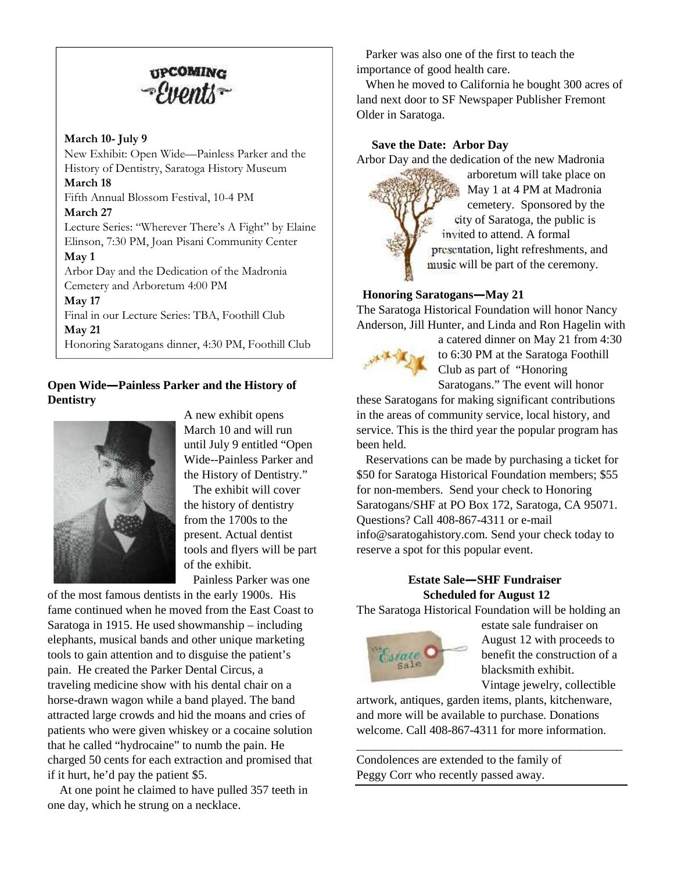

#### **March 10- July 9**

New Exhibit: Open Wide—Painless Parker and the History of Dentistry, Saratoga History Museum **March 18** Fifth Annual Blossom Festival, 10-4 PM **March 27** Lecture Series: "Wherever There's A Fight" by Elaine Elinson, 7:30 PM, Joan Pisani Community Center **May 1** Arbor Day and the Dedication of the Madronia Cemetery and Arboretum 4:00 PM **May 17** Final in our Lecture Series: TBA, Foothill Club **May 21** Honoring Saratogans dinner, 4:30 PM, Foothill Club

#### **Open Wide—Painless Parker and the History of<br>Radiate Sale Dentistry**



A new exhibit opens March 10 and will run until July 9 entitled "Open Wide--Painless Parker and the History of Dentistry."

The exhibit will cover the history of dentistry from the 1700s to the present. Actual dentist tools and flyers will be part of the exhibit.

Painless Parker was one

of the most famous dentists in the early 1900s. His fame continued when he moved from the East Coast to Saratoga in 1915. He used showmanship – including elephants, musical bands and other unique marketing tools to gain attention and to disguise the patient's pain. He created the Parker Dental Circus, a traveling medicine show with his dental chair on a horse-drawn wagon while a band played. The band attracted large crowds and hid the moans and cries of patients who were given whiskey or a cocaine solution that he called "hydrocaine" to numb the pain. He charged 50 cents for each extraction and promised that if it hurt, he'd pay the patient \$5.

At one point he claimed to have pulled 357 teeth in one day, which he strung on a necklace.

Parker was also one of the first to teach the importance of good health care.

When he moved to California he bought 300 acres of land next door to SF Newspaper Publisher Fremont Older in Saratoga.

#### **Save the Date: Arbor Day**

Arbor Day and the dedication of the new Madronia



arboretum will take place on May 1 at 4 PM at Madronia cemetery. Sponsored by the city of Saratoga, the public is invited to attend. A formal presentation, light refreshments, and music will be part of the ceremony.

#### **Honoring Saratogans—May 21**

The Saratoga Historical Foundation will honor Nancy Anderson, Jill Hunter, and Linda and Ron Hagelin with



a catered dinner on May 21 from 4:30 to 6:30 PM at the Saratoga Foothill Club as part of "Honoring Saratogans." The event will honor

these Saratogans for making significant contributions in the areas of community service, local history, and service. This is the third year the popular program has been held.

Reservations can be made by purchasing a ticket for \$50 for Saratoga Historical Foundation members; \$55 for non-members. Send your check to Honoring Saratogans/SHF at PO Box 172, Saratoga, CA 95071. Questions? Call 408-867-4311 or e-mail info@saratogahistory.com. Send your check today to reserve a spot for this popular event.

#### **Estate Sale—SHF Fundraiser Scheduled for August 12**

The Saratoga Historical Foundation will be holding an



estate sale fundraiser on August 12 with proceeds to benefit the construction of a blacksmith exhibit. Vintage jewelry, collectible

artwork, antiques, garden items, plants, kitchenware, and more will be available to purchase. Donations welcome. Call 408-867-4311 for more information.

\_\_\_\_\_\_\_\_\_\_\_\_\_\_\_\_\_\_\_\_\_\_\_\_\_\_\_\_\_\_\_\_\_\_\_\_\_\_\_\_\_\_\_\_

Condolences are extended to the family of Peggy Corr who recently passed away.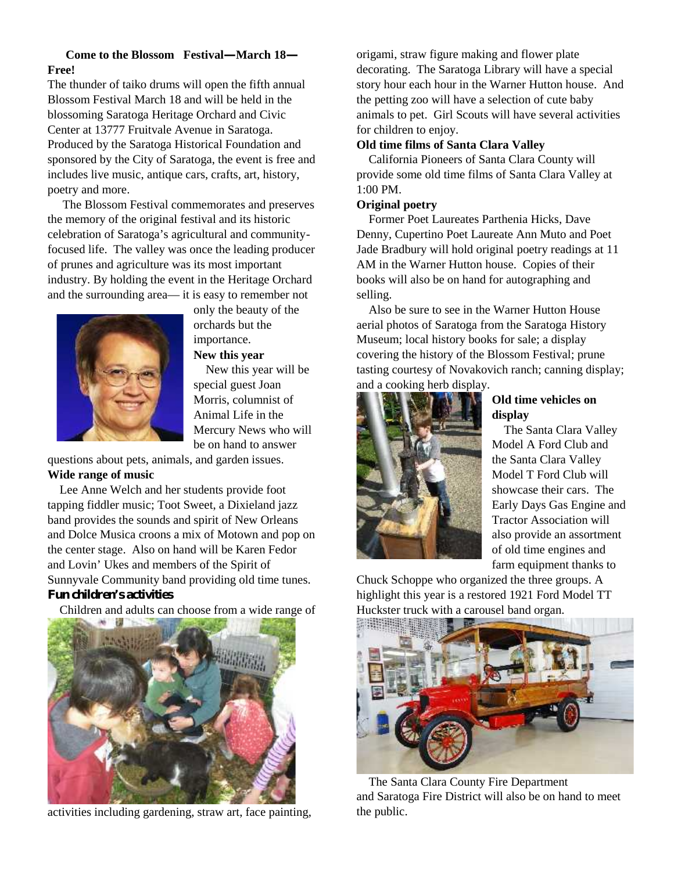#### **Come to the Blossom Festival—March 18— Free!**

The thunder of taiko drums will open the fifth annual Blossom Festival March 18 and will be held in the blossoming Saratoga Heritage Orchard and Civic Center at 13777 Fruitvale Avenue in Saratoga. Produced by the Saratoga Historical Foundation and sponsored by the City of Saratoga, the event is free and includes live music, antique cars, crafts, art, history, poetry and more.

The Blossom Festival commemorates and preserves the memory of the original festival and its historic celebration of Saratoga's agricultural and communityfocused life. The valley was once the leading producer of prunes and agriculture was its most important industry. By holding the event in the Heritage Orchard and the surrounding area— it is easy to remember not



only the beauty of the orchards but the importance. **New this year**

New this year will be special guest Joan Morris, columnist of Animal Life in the Mercury News who will be on hand to answer

questions about pets, animals, and garden issues. **Wide range of music**

Lee Anne Welch and her students provide foot tapping fiddler music; Toot Sweet, a Dixieland jazz band provides the sounds and spirit of New Orleans and Dolce Musica croons a mix of Motown and pop on the center stage. Also on hand will be Karen Fedor and Lovin' Ukes and members of the Spirit of Sunnyvale Community band providing old time tunes. **Fun children's activities**

Children and adults can choose from a wide range of



activities including gardening, straw art, face painting,

origami, straw figure making and flower plate decorating. The Saratoga Library will have a special story hour each hour in the Warner Hutton house. And the petting zoo will have a selection of cute baby animals to pet. Girl Scouts will have several activities for children to enjoy.

#### **Old time films of Santa Clara Valley**

California Pioneers of Santa Clara County will provide some old time films of Santa Clara Valley at 1:00 PM.

#### **Original poetry**

Former Poet Laureates Parthenia Hicks, Dave Denny, Cupertino Poet Laureate Ann Muto and Poet Jade Bradbury will hold original poetry readings at 11 AM in the Warner Hutton house. Copies of their books will also be on hand for autographing and selling.

Also be sure to see in the Warner Hutton House aerial photos of Saratoga from the Saratoga History Museum; local history books for sale; a display covering the history of the Blossom Festival; prune tasting courtesy of Novakovich ranch; canning display; and a cooking herb display.



#### **Old time vehicles on display**

The Santa Clara Valley Model A Ford Club and the Santa Clara Valley Model T Ford Club will showcase their cars. The Early Days Gas Engine and Tractor Association will also provide an assortment of old time engines and farm equipment thanks to

Chuck Schoppe who organized the three groups. A highlight this year is a restored 1921 Ford Model TT Huckster truck with a carousel band organ.



The Santa Clara County Fire Department and Saratoga Fire District will also be on hand to meet the public.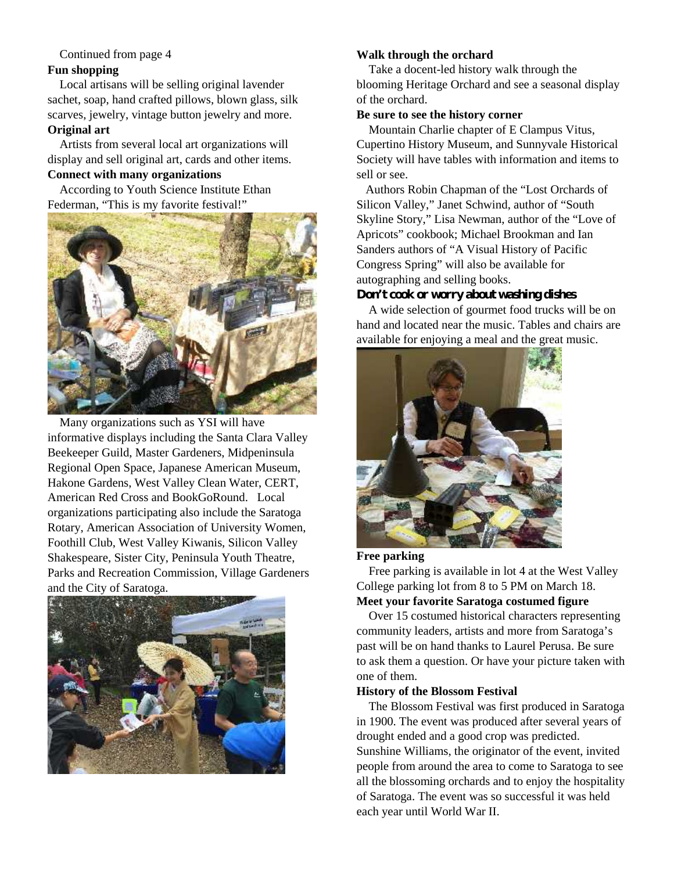#### Continued from page 4

#### **Fun shopping**

Local artisans will be selling original lavender sachet, soap, hand crafted pillows, blown glass, silk scarves, jewelry, vintage button jewelry and more. **Original art**

Artists from several local art organizations will display and sell original art, cards and other items.

### **Connect with many organizations**

According to Youth Science Institute Ethan Federman, "This is my favorite festival!"



Many organizations such as YSI will have informative displays including the Santa Clara Valley Beekeeper Guild, Master Gardeners, Midpeninsula Regional Open Space, Japanese American Museum, Hakone Gardens, West Valley Clean Water, CERT, American Red Cross and BookGoRound. Local organizations participating also include the Saratoga Rotary, American Association of University Women, Foothill Club, West Valley Kiwanis, Silicon Valley Shakespeare, Sister City, Peninsula Youth Theatre, Parks and Recreation Commission, Village Gardeners and the City of Saratoga.



#### **Walk through the orchard**

Take a docent-led history walk through the blooming Heritage Orchard and see a seasonal display of the orchard.

#### **Be sure to see the history corner**

Mountain Charlie chapter of E Clampus Vitus, Cupertino History Museum, and Sunnyvale Historical Society will have tables with information and items to sell or see.

Authors Robin Chapman of the "Lost Orchards of Silicon Valley," Janet Schwind, author of "South Skyline Story," Lisa Newman, author of the "Love of Apricots" cookbook; Michael Brookman and Ian Sanders authors of "A Visual History of Pacific Congress Spring" will also be available for autographing and selling books.

#### **Don't cook or worry about washing dishes**

A wide selection of gourmet food trucks will be on hand and located near the music. Tables and chairs are available for enjoying a meal and the great music.



#### **Free parking**

Free parking is available in lot 4 at the West Valley College parking lot from 8 to 5 PM on March 18. **Meet your favorite Saratoga costumed figure**

Over 15 costumed historical characters representing community leaders, artists and more from Saratoga's past will be on hand thanks to Laurel Perusa. Be sure to ask them a question. Or have your picture taken with one of them.

#### **History of the Blossom Festival**

The Blossom Festival was first produced in Saratoga in 1900. The event was produced after several years of drought ended and a good crop was predicted.

Sunshine Williams, the originator of the event, invited people from around the area to come to Saratoga to see all the blossoming orchards and to enjoy the hospitality of Saratoga. The event was so successful it was held each year until World War II.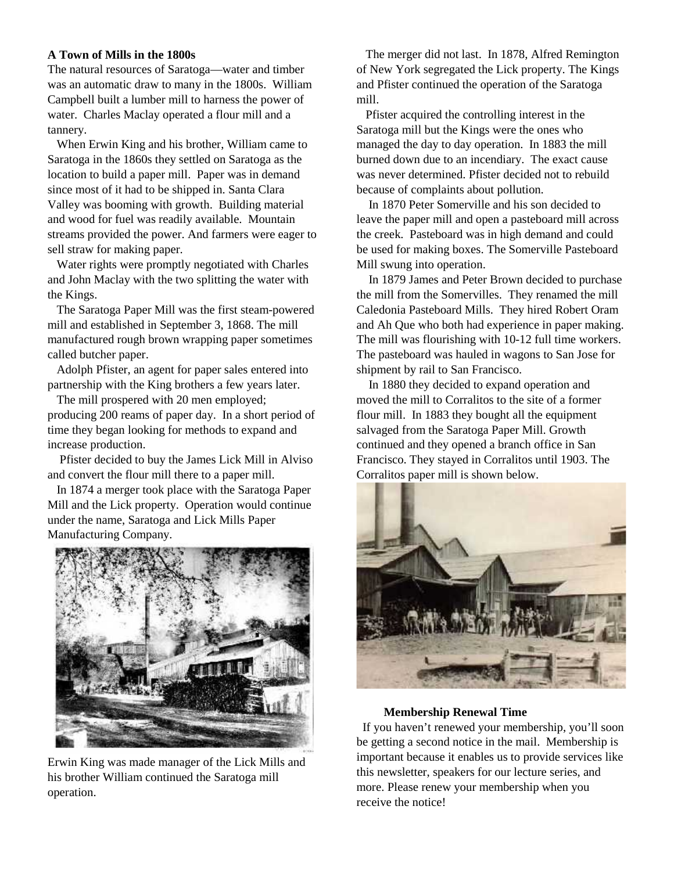#### **A Town of Mills in the 1800s**

The natural resources of Saratoga—water and timber was an automatic draw to many in the 1800s. William Campbell built a lumber mill to harness the power of water. Charles Maclay operated a flour mill and a tannery.

When Erwin King and his brother, William came to Saratoga in the 1860s they settled on Saratoga as the location to build a paper mill. Paper was in demand since most of it had to be shipped in. Santa Clara Valley was booming with growth. Building material and wood for fuel was readily available. Mountain streams provided the power. And farmers were eager to sell straw for making paper.

Water rights were promptly negotiated with Charles and John Maclay with the two splitting the water with the Kings.

The Saratoga Paper Mill was the first steam-powered mill and established in September 3, 1868. The mill manufactured rough brown wrapping paper sometimes called butcher paper.

Adolph Pfister, an agent for paper sales entered into partnership with the King brothers a few years later.

The mill prospered with 20 men employed; producing 200 reams of paper day. In a short period of time they began looking for methods to expand and increase production.

Pfister decided to buy the James Lick Mill in Alviso and convert the flour mill there to a paper mill.

In 1874 a merger took place with the Saratoga Paper Mill and the Lick property. Operation would continue under the name, Saratoga and Lick Mills Paper Manufacturing Company.



Erwin King was made manager of the Lick Mills and his brother William continued the Saratoga mill operation.

The merger did not last. In 1878, Alfred Remington of New York segregated the Lick property. The Kings and Pfister continued the operation of the Saratoga mill.

Pfister acquired the controlling interest in the Saratoga mill but the Kings were the ones who managed the day to day operation. In 1883 the mill burned down due to an incendiary. The exact cause was never determined. Pfister decided not to rebuild because of complaints about pollution.

In 1870 Peter Somerville and his son decided to leave the paper mill and open a pasteboard mill across the creek. Pasteboard was in high demand and could be used for making boxes. The Somerville Pasteboard Mill swung into operation.

In 1879 James and Peter Brown decided to purchase the mill from the Somervilles. They renamed the mill Caledonia Pasteboard Mills. They hired Robert Oram and Ah Que who both had experience in paper making. The mill was flourishing with 10-12 full time workers. The pasteboard was hauled in wagons to San Jose for shipment by rail to San Francisco.

In 1880 they decided to expand operation and moved the mill to Corralitos to the site of a former flour mill. In 1883 they bought all the equipment salvaged from the Saratoga Paper Mill. Growth continued and they opened a branch office in San Francisco. They stayed in Corralitos until 1903. The Corralitos paper mill is shown below.



#### **Membership Renewal Time**

If you haven't renewed your membership, you'll soon be getting a second notice in the mail. Membership is important because it enables us to provide services like this newsletter, speakers for our lecture series, and more. Please renew your membership when you receive the notice!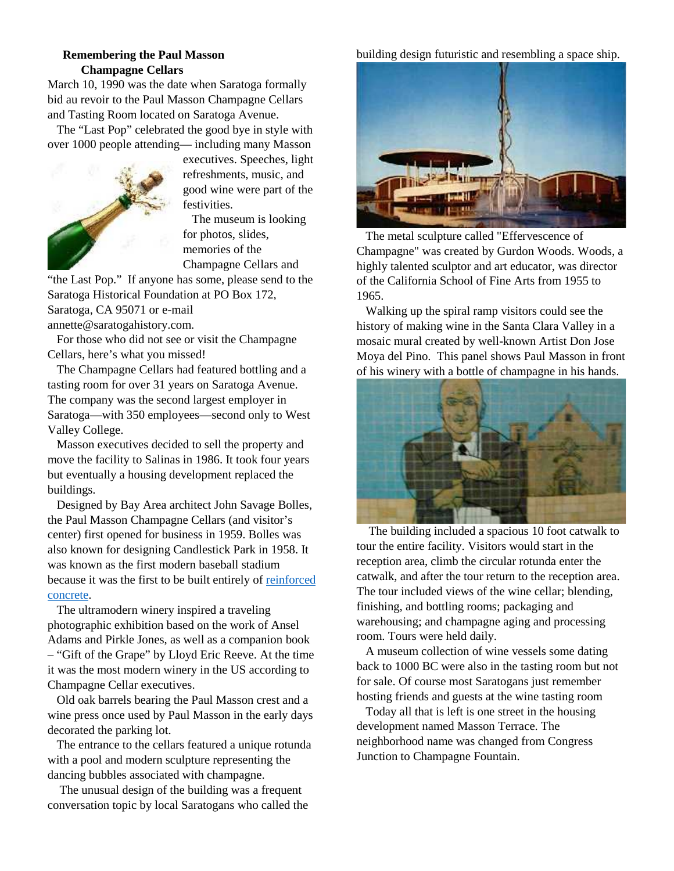#### **Remembering the Paul Masson Champagne Cellars**

March 10, 1990 was the date when Saratoga formally bid au revoir to the Paul Masson Champagne Cellars and Tasting Room located on Saratoga Avenue.

The "Last Pop" celebrated the good bye in style with over 1000 people attending— including many Masson



executives. Speeches, light refreshments, music, and good wine were part of the festivities.

The museum is looking for photos, slides, memories of the Champagne Cellars and

"the Last Pop." If anyone has some, please send to the Saratoga Historical Foundation at PO Box 172, Saratoga, CA 95071 or e-mail annette@saratogahistory.com.

For those who did not see or visit the Champagne Cellars, here's what you missed!

The Champagne Cellars had featured bottling and a tasting room for over 31 years on Saratoga Avenue. The company was the second largest employer in Saratoga—with 350 employees—second only to West Valley College.

Masson executives decided to sell the property and move the facility to Salinas in 1986. It took four years but eventually a housing development replaced the buildings.

Designed by Bay Area architect John Savage Bolles, the Paul Masson Champagne Cellars (and visitor's center) first opened for business in 1959. Bolles was also known for designing Candlestick Park in 1958. It was known as the first modern baseball stadium because it was the first to be built entirely of reinforced concrete.

The ultramodern winery inspired a traveling photographic exhibition based on the work of Ansel Adams and Pirkle Jones, as well as a companion book – "Gift of the Grape" by Lloyd Eric Reeve. At the time it was the most modern winery in the US according to Champagne Cellar executives.

Old oak barrels bearing the Paul Masson crest and a wine press once used by Paul Masson in the early days decorated the parking lot.

The entrance to the cellars featured a unique rotunda with a pool and modern sculpture representing the dancing bubbles associated with champagne.

The unusual design of the building was a frequent conversation topic by local Saratogans who called the

#### building design futuristic and resembling a space ship.



The metal sculpture called "Effervescence of Champagne" was created by Gurdon Woods. Woods, a highly talented sculptor and art educator, was director of the California School of Fine Arts from 1955 to 1965.

Walking up the spiral ramp visitors could see the history of making wine in the Santa Clara Valley in a mosaic mural created by well-known Artist Don Jose Moya del Pino. This panel shows Paul Masson in front of his winery with a bottle of champagne in his hands.



The building included a spacious 10 foot catwalk to tour the entire facility. Visitors would start in the reception area, climb the circular rotunda enter the catwalk, and after the tour return to the reception area. The tour included views of the wine cellar; blending, finishing, and bottling rooms; packaging and warehousing; and champagne aging and processing room. Tours were held daily.

A museum collection of wine vessels some dating back to 1000 BC were also in the tasting room but not for sale. Of course most Saratogans just remember hosting friends and guests at the wine tasting room

Today all that is left is one street in the housing development named Masson Terrace. The neighborhood name was changed from Congress Junction to Champagne Fountain.